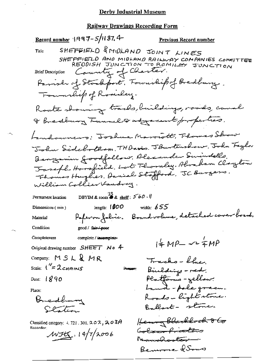Record number 1997-5/1187.4 Previous Record number SHEFFIELD & MIDLAND JOINT LINES Title SHEFFIELD AND MIDLAND RAILWAY COMPANIES COMMITTEE Country of Charter. **Brief Description** Parish of Stackfort, Township of Bredbury. Foundies of Romaley. Roate showing tracks, buildings, roads, causel I Breaking Funnel & adjournt properties. Landowners: Joshua Marriott, Thomas Show John Sidebothom, THDavis. JBurtenshow, John Taylor Bengamin goodfellow. Alexander Swindells. Jaseph Hossfield. Lot Thomkey. Abraham Clayton Thomas Hughes, Arniel Stafford, JC Burgers. William Collier Vandrey. DBYIM & room  $\stackrel{\rightarrow}{\bullet}$  & shelf:  $560 \cdot$ Permanent location width:  $655$ length:  $1000$ Dimensions (mm) Paperon fabric. Bound volume, detailed cover board. Material Condition good / fa<del>ir / poo</del>r Completeness complete / incomplete- $4 \mu P - 2 \frac{1}{4} M P$ Original drawing number  $SHEET$  No 4 Company: MSL&MR Tracks - blues Scale:  $1''=2$  cHAINS Bindding - red. Person: Platforms - yellow: Date:  $\frac{1}{6}$  $\frac{8}{9}$  $\frac{9}{0}$ Land - pole green. Place: Roads-light stone. Bredham Ballart - stone. Clation Henry Blackbock 8 Co Classified category:  $4.721.301.202$ ,  $203A$ Recorder: Colour Pronters  $MIR_{1.14/7/2006}$ Manderster -Bemoore & Soms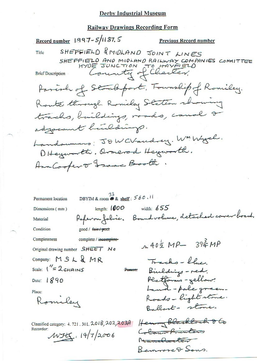#### **Railway Drawings Recording Form**

Record number 1997-5/1187.5 **Previous Record number** SHEFFIELD & MIDLAND JOINT LINES Title SHEFFIELD AND MIDLAND RAILWAY COMPANIES COMMITTEE County of Cherter, **Brief Description** Parish of Stockbort, Township of Romiley. Route through Romiley Station who wing tracks, buildings, roads, canal 2 adjournt hinldings. Landowners: JOWCVaudrey. WMWych. DHeyworth. armerod Heyworth. Ann Cooper or France Booth. DBYIM & room  $\otimes$  & shelf: 560.11 Permanent location width:  $655$ length:  $1000$ Dimensions (mm) Paperon folice. Bound volume, detached cover board. Material Condition good / fair / poor Completeness complete / incomplete- $40\frac{1}{2}MP - 39\frac{3}{4}MP$ Original drawing number SHEET No Company: MSL&MR Tracks-blue Scale:  $1'' = 2c$ HAINS Binldings - red. Platforms-yellow. Date:  $1890$ Land-pole green. Place: Roads-light stone. Romiley Ballart - stone. Henry Blackbock 86 Classified category: 4, 721, 301, 2018, 202, 203A Recorder: Colour frenters  $WFEI. 19/7/2006$ Mandates

Bemove & Sons.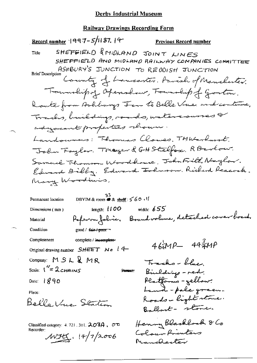Record number 1997-5/1187. 14 Previous Record number SHEFFIELD & MIDLAND JOINT LINES Title SHEFFIELD AND MIDLAND RAILWAY COMPANIES COMMITTEE Brief Description County of Lancaster. Parish of Manchester. Trouverhip of Openshow, Fourabip of Goston. Route from Arhburgs Fen to Belle Vue and continue, Trades, buildings, roads, withrownes adyacent properties chown. Landowners: Thromas Clouses. TMWarburst. John Faylor. Though & GHStelfox. RBerkow. Samuel Florence Woodbacce, John Frill Naylow. Edward Bibby, Edward Johnson, Riderd Reacock. Many Worldwis,  $\frac{33}{28 \text{ m/s} \cdot 60 \cdot 1}$ Permanent location length;  $100$ width:  $655$ Dimensions (mm) Paperon folice. Bound volume, detached correr board, Material Condition good / fair-/-poor **Completeness** complete / incomplete- $464MP - 494MP$ Original drawing number SHEET No 14 Company: MSL&MR Trachs-blue, Scale:  $1'' = 2c$ HAINS Bindding - red. **Person** Platforms-yellow:<br>Land - pale green. Date:  $890$ Place: Roads-light stone. Belle Vue Station Ballant - stone. Henry Blacklock & Co Classified category:  $4.721$ ,  $301$ ,  $203A$ ,  $\sigma\sigma$ Recorder: Colour Printers  $WFC.14/7/2006$ Nanchester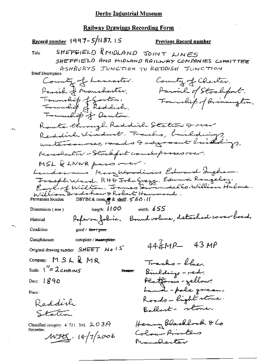Record number 1997-5/1187, 15 Previous Record number SHEFFIELD & MIDLAND JOINT LINES Title SHEFFIELD AND MIDLAND RAILWAY COMPANIES COMMITTEE ASHBURYS JUNCTION TO REDDISH JUNCTION **Brief Description** County of Lancoster. County of Chester. Parish of Manchester, Family of Stockfort. Township of Gouton.<br>Township of Reddish. Foundiep of Brinnington. Foundit of Denton. Route through Reddish Station & over Reddich Viaduct Tracks, buildings, watercourses, rado Insponsible indet Manualenter - Stocksfort canal passes over, MSL & LNWR pass -ver. Landownews! Mary Woodiwiss, Edward Ingham. Foreple Ward, RHD Tohn Grego, Edward Rongeley.<br>Earl of Wilton. Fames Swindello. William Halme. William Bradshaw & Robert Hammond. DBYIM & room & shelf: 560.11 Permanent location length:  $1100$ width:  $655$ Dimensions (mm) Paperon folice. Bound volume, detached cover boend. Material Condition good / fair / poor Completeness complete / incomplete- $44\frac{2}{4}MP - 43MP$ Original drawing number  $SHEET$  No  $IS$ Company: MSL&MR Trachs - blue. Scale:  $\frac{1}{2}$   $2$   $\epsilon$   $\mu$   $\approx$   $\epsilon$ Biveldings - red. Person: Platforms - yellow:<br>Land - pole green. Date:  $1890$ Place: Roads - light stone. Reddish Ballant- stone. Station Henry Blacklock & Co Classified category: 4, 721, 301,  $203A$ Recorder: Colour Printers  $MHE. 14/7/2006$ Manalester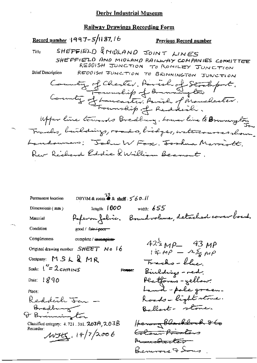Record number 1997-5/1187.16 Previous Record number SHEFFIELD & MIDLAND JOINT LINES Title SHEFFIELD AND MIDLAND RAILWAY COMPANIES COMMITTEE REDOISH JONCTION TO ROMILEY JONCTION REDDISH JUNCTION TO BRINNINGTON JUNCTION **Brief Description** County of Chester. Paral of Stocksport.<br>County of Lancaster. Paral of Manchester. Upper line towards Bredburg. Lower line to Browning ton Trades, building, roads, bidges, watercourses shown Landowners: "John W Fosc. Joshua Marriott. Rev Richard Eddie QWilliam Beamont. DBYIM & room  $\stackrel{33}{\bullet}$  & shelf:  $\leq 60$ . Permanent location length:  $1000$ width:  $655$ Dimensions (mm) Referanfolice. Boundvolume, detached coverboard. Material Condition good / fair / poor Completeness complete / incomplete- $42\frac{1}{2}MP - 43MP$ <br> $14MP - 45MP$ Original drawing number  $SHEET$  N o  $16$ Company: MSL&MR Trachs-blue Scale:  $1'' = 2c$ HAINS Biulding - red. Person: Platforms - yellow? Date:  $1890$ Land-pole green. Place: Roads-light stone. Reddeth Jan -Bredburg<br>O Briunington Ballant- stone. Henry Blackbock 860 Classified category:  $4.721.301.$   $203A.$   $2.03B$ Recorder: Colour Privaters  $WH_{11}$ , 14/7/2006 Am<del>malantsir</del> Bennone & Song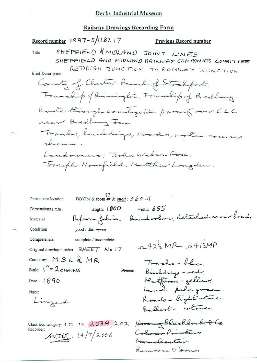#### **Railway Drawings Recording Form**

Record number 1997-5/1187. 17 Previous Record number SHEFFIELD & MIDLAND JOINT LINES Title SHEFFIELD AND MIDLAND RAILWAY COMPANIES COMMITTEE REDDISH JUNCTION TO ROMILEY JUNCTION **Brief Description** County of Chester. Paviliof Stocksport. Foundity of Brinninglin, Fourthip of Bredburg. Roote through countryside passing over CLC near Bredhamy Jan Tracks, huildings, roads, watercourses shown. Landowners: John Wilson Forc. Toseph Horsfield, Matthew Longden. DBYIM & room  $\overset{33}{\bullet}$  & shelf:  $560$ . If Permanent location width:  $655$ length:  $1000$ Dimensions (mm) Referan folice. Bound volume, detached cover board. Material Condition good / fair / poor Completeness complete / incomplete- $2422MP - 2412MP$ Original drawing number SHEET No 17 Company:  $MSL$   $MRR$ Tracho-blue. Scale:  $1'' = 2c$ HAINS Bildings - red. Person: Platforms-yellow. Date:  $1890$ Land-pole green. Place: Roads-light stone. Lingard Ballant- stone. Classified calcgory: 4.721.301. 203A, 202 Henry Blacklock & Go Recorder: Colour Privators  $WH$ .  $14/7/2006$ Namelerter

Benivore 9 Sono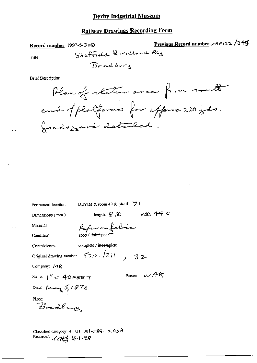# **Railway Drawings Recording Form**

Record number 1997-5/3cB

Previous Record number MRP132 /345

Title

**Brief Description** 



DBYIM & room 49 & shelf:  $\overline{7}$  f Permanent location length:  $9\overline{30}$  width:  $44\overline{4}$ Dimensions (mm) Paper on fabric Material eood / fa<del>ir / p</del> Condition complete / incomplete Completeness Original drawing number  $522\sqrt{311}$ , 32 Company: MR Person: WAK Scale:  $1'' = 40$  FEET Date: Ready  $5/1876$ Place: Bredhung Classified category: 4, 721, 301- $\leftarrow$  69. 2, 03A

Recorder: Little 16-1-98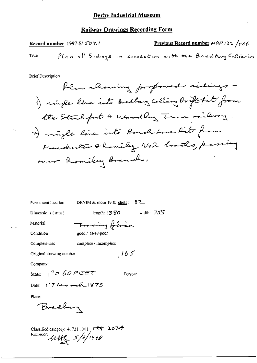Previous Record number  $\mu$ ( $\theta$ ) 32 /566 Record number 1997-5/507.1 Plan of Sidings in connection with the Bredbury Collieries Title

**Brief Description** 

 $\overline{a}$ 

| Permanent location              | 82_<br>DBYIM & room 49 & shelf : |
|---------------------------------|----------------------------------|
| Dimensions (mm)                 | width: 755<br>leogth: $1380$     |
| Material                        | Fracing folice                   |
| Condition                       | $200d / \text{fair} + 200r$      |
| Completeness                    | complete / incomplete            |
| Original drawing number         | 165                              |
| Company:                        |                                  |
| Scale: $\frac{1}{2}$ "= 60 Feet | Person:                          |
| Date: $17$ March 1875           |                                  |
| Place:                          |                                  |
| redbury                         |                                  |

Classified category: 4.721.301.  $r$ 89 203A<br>Recorder:  $\mu$ 84 5/6/1998